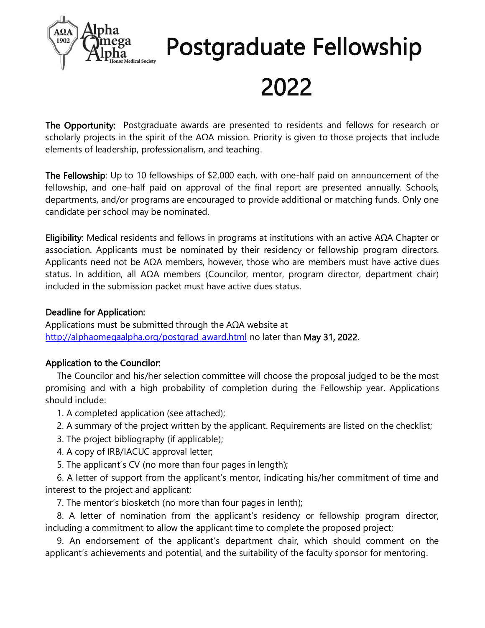

# Postgraduate Fellowship

## 2022

The Opportunity: Postgraduate awards are presented to residents and fellows for research or scholarly projects in the spirit of the AΩA mission. Priority is given to those projects that include elements of leadership, professionalism, and teaching.

The Fellowship: Up to 10 fellowships of \$2,000 each, with one-half paid on announcement of the fellowship, and one-half paid on approval of the final report are presented annually. Schools, departments, and/or programs are encouraged to provide additional or matching funds. Only one candidate per school may be nominated.

Eligibility: Medical residents and fellows in programs at institutions with an active AΩA Chapter or association. Applicants must be nominated by their residency or fellowship program directors. Applicants need not be  $AΩA$  members, however, those who are members must have active dues status. In addition, all AΩA members (Councilor, mentor, program director, department chair) included in the submission packet must have active dues status.

#### Deadline for Application:

Applications must be submitted through the AΩA website at [http://alphaomegaalpha.org/postgrad\\_award.html](http://alphaomegaalpha.org/postgrad_award.html) no later than May 31, 2022.

#### Application to the Councilor:

The Councilor and his/her selection committee will choose the proposal judged to be the most promising and with a high probability of completion during the Fellowship year. Applications should include:

1. A completed application (see attached);

- 2. A summary of the project written by the applicant. Requirements are listed on the checklist;
- 3. The project bibliography (if applicable);
- 4. A copy of IRB/IACUC approval letter;
- 5. The applicant's CV (no more than four pages in length);

6. A letter of support from the applicant's mentor, indicating his/her commitment of time and interest to the project and applicant;

7. The mentor's biosketch (no more than four pages in lenth);

8. A letter of nomination from the applicant's residency or fellowship program director, including a commitment to allow the applicant time to complete the proposed project;

9. An endorsement of the applicant's department chair, which should comment on the applicant's achievements and potential, and the suitability of the faculty sponsor for mentoring.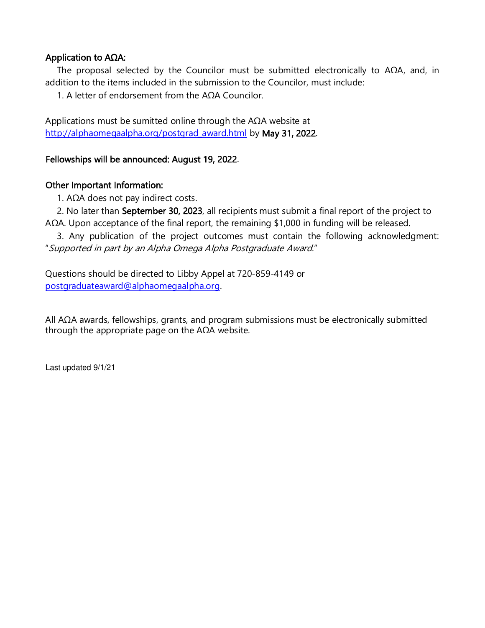#### Application to AΩA:

The proposal selected by the Councilor must be submitted electronically to AΩA, and, in addition to the items included in the submission to the Councilor, must include:

1. A letter of endorsement from the AΩA Councilor.

Applications must be sumitted online through the AΩA website at [http://alphaomegaalpha.org/postgrad\\_award.html](http://alphaomegaalpha.org/postgrad_award.html) by May 31, 2022.

#### Fellowships will be announced: August 19, 2022.

#### Other Important Information:

1. AΩA does not pay indirect costs.

2. No later than September 30, 2023, all recipients must submit a final report of the project to AΩA. Upon acceptance of the final report, the remaining \$1,000 in funding will be released.

3. Any publication of the project outcomes must contain the following acknowledgment: "Supported in part by an Alpha Omega Alpha Postgraduate Award."

Questions should be directed to Libby Appel at 720-859-4149 or [postgraduateaward@alphaomegaalpha.org.](mailto:postgraduateaward@alphaomegaalpha.org)

All AΩA awards, fellowships, grants, and program submissions must be electronically submitted through the appropriate page on the  $AΩA$  website.

Last updated 9/1/21